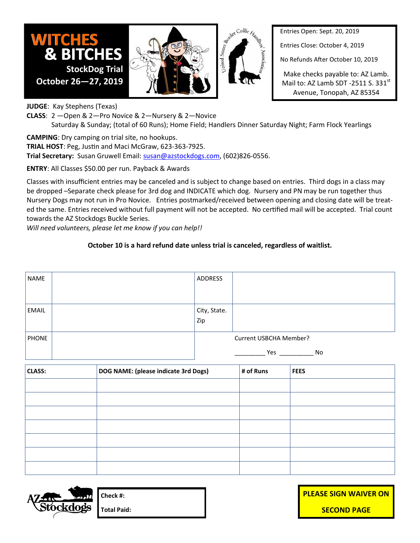

Entries Close: October 4, 2019

USBCHA SANCTIONED No Refunds After October 10, 2019

Make checks payable to: AZ Lamb. Mail to: AZ Lamb SDT -2511 S.  $331^{st}$ Avenue, Tonopah, AZ 85354

**JUDGE**: Kay Stephens (Texas)

**October 26—27, 2019**

**WITCHES**

**CLASS**: 2 —Open & 2—Pro Novice & 2—Nursery & 2—Novice Saturday & Sunday; (total of 60 Runs); Home Field; Handlers Dinner Saturday Night; Farm Flock Yearlings

United States Agest Collie Have

**CAMPING**: Dry camping on trial site, no hookups.

**& BITCHES**

 **StockDog Trial**

**TRIAL HOST**: Peg, Justin and Maci McGraw, 623-363-7925.

**Trial Secretary:** Susan Gruwell Email: [susan@azstockdogs.com,](mailto:secretary@azstockdogs.com) (602)826-0556.

**ENTRY**: All Classes \$50.00 per run. Payback & Awards

Classes with insufficient entries may be canceled and is subject to change based on entries. Third dogs in a class may be dropped –Separate check please for 3rd dog and INDICATE which dog. Nursery and PN may be run together thus Nursery Dogs may not run in Pro Novice. Entries postmarked/received between opening and closing date will be treated the same. Entries received without full payment will not be accepted. No certified mail will be accepted. Trial count towards the AZ Stockdogs Buckle Series.

*Will need volunteers, please let me know if you can help!!* 

## **October 10 is a hard refund date unless trial is canceled, regardless of waitlist.**

| <b>NAME</b>  | <b>ADDRESS</b>         |           |
|--------------|------------------------|-----------|
|              |                        |           |
| <b>EMAIL</b> | City, State.<br>Zip    |           |
| <b>PHONE</b> | Current USBCHA Member? |           |
|              |                        | Yes<br>No |

| <b>CLASS:</b> | DOG NAME: (please indicate 3rd Dogs) | # of Runs | <b>FEES</b> |
|---------------|--------------------------------------|-----------|-------------|
|               |                                      |           |             |
|               |                                      |           |             |
|               |                                      |           |             |
|               |                                      |           |             |
|               |                                      |           |             |
|               |                                      |           |             |
|               |                                      |           |             |



**Check #: Total Paid:** **PLEASE SIGN WAIVER ON SECOND PAGE**